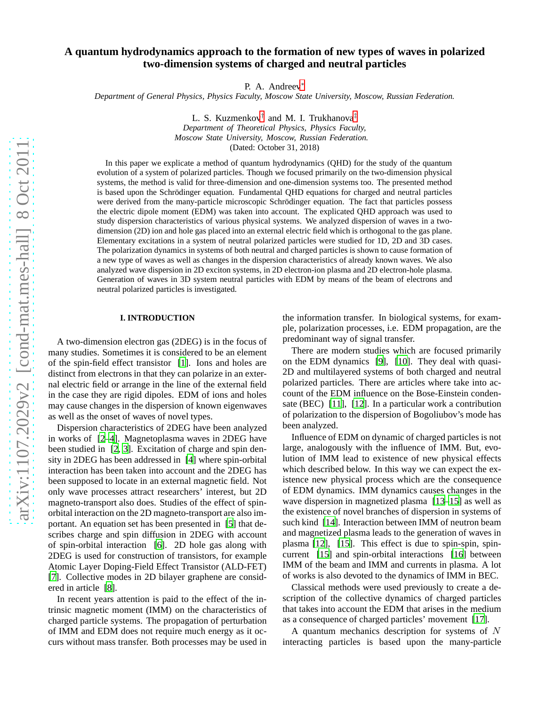# **A quantum hydrodynamics approach to the formation of new types of waves in polarized two-dimension systems of charged and neutral particles**

P. A. Andreev<sup>\*</sup>

*Department of General Physics, Physics Faculty, Moscow State University, Moscow, Russian Federation.*

L. S. Kuzmenkov<sup>[†](#page-13-1)</sup> and M. I. Trukhanova<sup>[‡](#page-13-2)</sup> *Department of Theoretical Physics, Physics Faculty, Moscow State University, Moscow, Russian Federation.* (Dated: October 31, 2018)

In this paper we explicate a method of quantum hydrodynamics (QHD) for the study of the quantum evolution of a system of polarized particles. Though we focused primarily on the two-dimension physical systems, the method is valid for three-dimension and one-dimension systems too. The presented method is based upon the Schrödinger equation. Fundamental QHD equations for charged and neutral particles were derived from the many-particle microscopic Schrödinger equation. The fact that particles possess the electric dipole moment (EDM) was taken into account. The explicated QHD approach was used to study dispersion characteristics of various physical systems. We analyzed dispersion of waves in a twodimension (2D) ion and hole gas placed into an external electric field which is orthogonal to the gas plane. Elementary excitations in a system of neutral polarized particles were studied for 1D, 2D and 3D cases. The polarization dynamics in systems of both neutral and charged particles is shown to cause formation of a new type of waves as well as changes in the dispersion characteristics of already known waves. We also analyzed wave dispersion in 2D exciton systems, in 2D electron-ion plasma and 2D electron-hole plasma. Generation of waves in 3D system neutral particles with EDM by means of the beam of electrons and neutral polarized particles is investigated.

# **I. INTRODUCTION**

A two-dimension electron gas (2DEG) is in the focus of many studies. Sometimes it is considered to be an element of the spin-field effect transistor [1]. Ions and holes are distinct from electrons in that they can polarize in an external electric field or arrange in the line of the external field in the case they are rigid dipoles. EDM of ions and holes may cause changes in the dispersion of known eigenwaves as well as the onset of waves of novel types.

Dispersion characteristics of 2DEG have been analyzed in works of [2–4]. Magnetoplasma waves in 2DEG have been studied in [2, 3]. Excitation of charge and spin density in 2DEG has been addressed in [4] where spin-orbital interaction has been taken into account and the 2DEG has been supposed to locate in an external magnetic field. Not only wave processes attract researchers' interest, but 2D magneto-transport also does. Studies of the effect of spinorbital interaction on the 2D magneto-transport are also important. An equation set has been presented in [5] that describes charge and spin diffusion in 2DEG with account of spin-orbital interaction [6]. 2D hole gas along with 2DEG is used for construction of transistors, for example Atomic Layer Doping-Field Effect Transistor (ALD-FET) [\[7\]](#page-13-3). Collective modes in 2D bilayer graphene are considered in article [8].

In recent years attention is paid to the effect of the intrinsic magnetic moment (IMM) on the characteristics of charged particle systems. The propagation of perturbation of IMM and EDM does not require much energy as it occurs without mass transfer. Both processes may be used in

the information transfer. In biological systems, for example, polarization processes, i.e. EDM propagation, are the predominant way of signal transfer.

There are modern studies which are focused primarily on the EDM dynamics [9], [10]. They deal with quasi-2D and multilayered systems of both charged and neutral polarized particles. There are articles where take into account of the EDM influence on the Bose-Einstein condensate (BEC) [11], [12]. In a particular work a contribution of polarization to the dispersion of Bogoliubov's mode has been analyzed.

Influence of EDM on dynamic of charged particles is not large, analogously with the influence of IMM. But, evolution of IMM lead to existence of new physical effects which described below. In this way we can expect the existence new physical process which are the consequence of EDM dynamics. IMM dynamics causes changes in the wave dispersion in magnetized plasma [13–15] as well as the existence of novel branches of dispersion in systems of such kind [14]. Interaction between IMM of neutron beam and magnetized plasma leads to the generation of waves in plasma [12], [15]. This effect is due to spin-spin, spincurrent [15] and spin-orbital interactions [16] between IMM of the beam and IMM and currents in plasma. A lot of works is also devoted to the dynamics of IMM in BEC.

Classical methods were used previously to create a description of the collective dynamics of charged particles that takes into account the EDM that arises in the medium as a consequence of charged particles' movement [17].

A quantum mechanics description for systems of N interacting particles is based upon the many-particle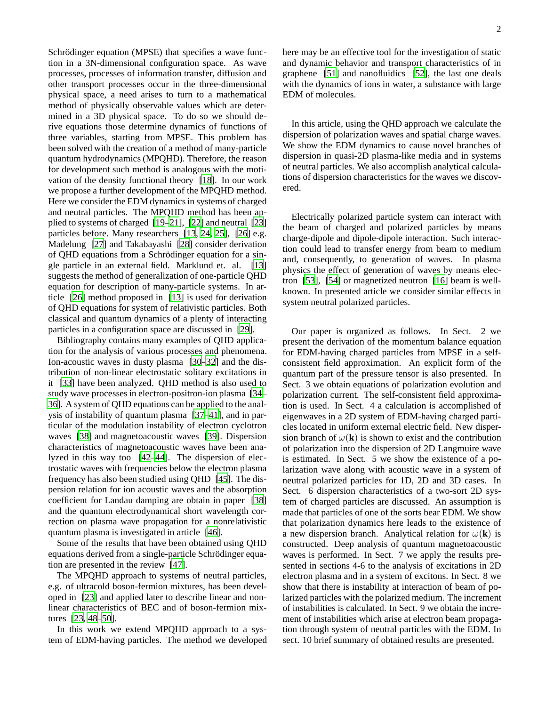Schrödinger equation (MPSE) that specifies a wave function in a 3N-dimensional configuration space. As wave processes, processes of information transfer, diffusion and other transport processes occur in the three-dimensional physical space, a need arises to turn to a mathematical method of physically observable values which are determined in a 3D physical space. To do so we should derive equations those determine dynamics of functions of three variables, starting from MPSE. This problem has been solved with the creation of a method of many-particle quantum hydrodynamics (MPQHD). Therefore, the reason for development such method is analogous with the motivation of the density functional theory [18]. In our work we propose a further development of the MPQHD method. Here we consider the EDM dynamics in systems of charged and neutral particles. The MPQHD method has been applied to systems of charged [19–21], [22] and neutral [23] particles before. Many researchers [13, 24, 25], [26] e.g. Madelung [27] and Takabayashi [\[28\]](#page-13-4) consider derivation of QHD equations from a Schrödinger equation for a single particle in an external field. Marklund et. al. [13] suggests the method of generalization of one-particle QHD equation for description of many-particle systems. In article [26] method proposed in [13] is used for derivation of QHD equations for system of relativistic particles. Both classical and quantum dynamics of a plenty of interacting particles in a configuration space are discussed in [29].

Bibliography contains many examples of QHD application for the analysis of various processes and phenomena. Ion-acoustic waves in dusty plasma [30–32] and the distribution of non-linear electrostatic solitary excitations in it [33] have been analyzed. QHD method is also used to study wave processes in electron-positron-ion plasma [34– 36]. A system of QHD equations can be applied to the analysis of instability of quantum plasma [37–41], and in particular of the modulation instability of electron cyclotron waves [38] and magnetoacoustic waves [39]. Dispersion characteristics of magnetoacoustic waves have been analyzed in this way too [42–44]. The dispersion of electrostatic waves with frequencies below the electron plasma frequency has also been studied using QHD [45]. The dispersion relation for ion acoustic waves and the absorption coefficient for Landau damping are obtain in paper [38] and the quantum electrodynamical short wavelength correction on plasma wave propagation for a nonrelativistic quantum plasma is investigated in article [46].

Some of the results that have been obtained using QHD equations derived from a single-particle Schrödinger equation are presented in the review [47].

The MPQHD approach to systems of neutral particles, e.g. of ultracold boson-fermion mixtures, has been developed in [23] and applied later to describe linear and nonlinear characteristics of BEC and of boson-fermion mixtures [23, 48–50].

In this work we extend MPQHD approach to a system of EDM-having particles. The method we developed here may be an effective tool for the investigation of static and dynamic behavior and transport characteristics of in graphene [51] and nanofluidics [52], the last one deals with the dynamics of ions in water, a substance with large EDM of molecules.

In this article, using the QHD approach we calculate the dispersion of polarization waves and spatial charge waves. We show the EDM dynamics to cause novel branches of dispersion in quasi-2D plasma-like media and in systems of neutral particles. We also accomplish analytical calculations of dispersion characteristics for the waves we discovered.

Electrically polarized particle system can interact with the beam of charged and polarized particles by means charge-dipole and dipole-dipole interaction. Such interaction could lead to transfer energy from beam to medium and, consequently, to generation of waves. In plasma physics the effect of generation of waves by means electron [53], [54] or magnetized neutron [16] beam is wellknown. In presented article we consider similar effects in system neutral polarized particles.

Our paper is organized as follows. In Sect. 2 we present the derivation of the momentum balance equation for EDM-having charged particles from MPSE in a selfconsistent field approximation. An explicit form of the quantum part of the pressure tensor is also presented. In Sect. 3 we obtain equations of polarization evolution and polarization current. The self-consistent field approximation is used. In Sect. 4 a calculation is accomplished of eigenwaves in a 2D system of EDM-having charged particles located in uniform external electric field. New dispersion branch of  $\omega(\mathbf{k})$  is shown to exist and the contribution of polarization into the dispersion of 2D Langmuire wave is estimated. In Sect. 5 we show the existence of a polarization wave along with acoustic wave in a system of neutral polarized particles for 1D, 2D and 3D cases. In Sect. 6 dispersion characteristics of a two-sort 2D system of charged particles are discussed. An assumption is made that particles of one of the sorts bear EDM. We show that polarization dynamics here leads to the existence of a new dispersion branch. Analytical relation for  $\omega(\mathbf{k})$  is constructed. Deep analysis of quantum magnetoacoustic waves is performed. In Sect. 7 we apply the results presented in sections 4-6 to the analysis of excitations in 2D electron plasma and in a system of excitons. In Sect. 8 we show that there is instability at interaction of beam of polarized particles with the polarized medium. The increment of instabilities is calculated. In Sect. 9 we obtain the increment of instabilities which arise at electron beam propagation through system of neutral particles with the EDM. In sect. 10 brief summary of obtained results are presented.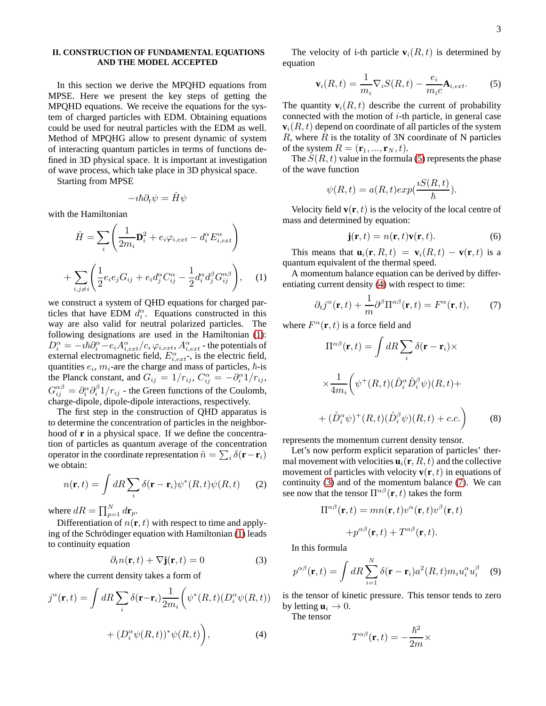## **II. CONSTRUCTION OF FUNDAMENTAL EQUATIONS AND THE MODEL ACCEPTED**

In this section we derive the MPQHD equations from MPSE. Here we present the key steps of getting the MPQHD equations. We receive the equations for the system of charged particles with EDM. Obtaining equations could be used for neutral particles with the EDM as well. Method of MPQHG allow to present dynamic of system of interacting quantum particles in terms of functions defined in 3D physical space. It is important at investigation of wave process, which take place in 3D physical space.

Starting from MPSE

$$
-i\hbar\partial_t\psi=\hat{H}\psi
$$

with the Hamiltonian

$$
\hat{H} = \sum_{i} \left( \frac{1}{2m_i} \mathbf{D}_i^2 + e_i \varphi_{i,ext} - d_i^{\alpha} E_{i,ext}^{\alpha} \right)
$$

$$
+ \sum_{i,j \neq i} \left( \frac{1}{2} e_i e_j G_{ij} + e_i d_j^{\alpha} C_{ij}^{\alpha} - \frac{1}{2} d_i^{\alpha} d_j^{\beta} G_{ij}^{\alpha \beta} \right), \quad (1)
$$

<span id="page-2-0"></span>we construct a system of QHD equations for charged particles that have EDM  $d_i^{\alpha}$ . Equations constructed in this way are also valid for neutral polarized particles. The following designations are used in the Hamiltonian [\(1\)](#page-2-0):  $D_i^{\alpha} = -i\hbar \partial_i^{\alpha} - e_i A_{i,ext}^{\alpha}/c, \varphi_{i,ext}, A_{i,ext}^{\alpha}$ - the potentials of external electromagnetic field,  $E_{i,ext}^{\alpha}$ , is the electric field, quantities  $e_i$ ,  $m_i$ -are the charge and mass of particles,  $\hbar$ -is the Planck constant, and  $G_{ij} = 1/r_{ij}$ ,  $C_{ij}^{\alpha} = -\partial_i^{\alpha} 1/r_{ij}$ ,  $G_{ij}^{\alpha\beta} = \partial_i^{\alpha} \partial_i^{\beta} 1/r_{ij}$  - the Green functions of the Coulomb, charge-dipole, dipole-dipole interactions, respectively.

The first step in the construction of QHD apparatus is to determine the concentration of particles in the neighborhood of **r** in a physical space. If we define the concentration of particles as quantum average of the concentration operator in the coordinate representation  $\hat{n} = \sum_i \delta(\mathbf{r} - \mathbf{r}_i)$ we obtain:

$$
n(\mathbf{r},t) = \int dR \sum_{i} \delta(\mathbf{r} - \mathbf{r}_{i}) \psi^*(R,t) \psi(R,t) \qquad (2)
$$

where  $dR = \prod_{p=1}^{N} d\mathbf{r}_p$ .

Differentiation of  $n(\mathbf{r}, t)$  with respect to time and apply-ing of the Schrödinger equation with Hamiltonian [\(1\)](#page-2-0) leads to continuity equation

<span id="page-2-3"></span>
$$
\partial_t n(\mathbf{r}, t) + \nabla \mathbf{j}(\mathbf{r}, t) = 0 \tag{3}
$$

where the current density takes a form of

<span id="page-2-2"></span>
$$
j^{\alpha}(\mathbf{r},t) = \int dR \sum_{i} \delta(\mathbf{r} - \mathbf{r}_{i}) \frac{1}{2m_{i}} \left( \psi^{*}(R,t) (D_{i}^{\alpha} \psi(R,t)) + (D_{i}^{\alpha} \psi(R,t))^{*} \psi(R,t) \right),
$$
\n(4)

The velocity of i-th particle  $\mathbf{v}_i(R, t)$  is determined by equation

<span id="page-2-1"></span>
$$
\mathbf{v}_i(R,t) = \frac{1}{m_i} \nabla_i S(R,t) - \frac{e_i}{m_i c} \mathbf{A}_{i,ext}.
$$
 (5)

The quantity  $\mathbf{v}_i(R, t)$  describe the current of probability connected with the motion of  $i$ -th particle, in general case  $\mathbf{v}_i(R, t)$  depend on coordinate of all particles of the system  $R$ , where  $R$  is the totality of 3N coordinate of N particles of the system  $R = (\mathbf{r}_1, ..., \mathbf{r}_N, t)$ .

The  $S(R, t)$  value in the formula [\(5\)](#page-2-1) represents the phase of the wave function

$$
\psi(R,t) = a(R,t)exp(\frac{iS(R,t)}{\hbar}).
$$

Velocity field  $\mathbf{v}(\mathbf{r}, t)$  is the velocity of the local centre of mass and determined by equation:

<span id="page-2-5"></span>
$$
\mathbf{j}(\mathbf{r},t) = n(\mathbf{r},t)\mathbf{v}(\mathbf{r},t). \tag{6}
$$

This means that  $\mathbf{u}_i(\mathbf{r}, R, t) = \mathbf{v}_i(R, t) - \mathbf{v}(\mathbf{r}, t)$  is a quantum equivalent of the thermal speed.

A momentum balance equation can be derived by differentiating current density [\(4\)](#page-2-2) with respect to time:

<span id="page-2-4"></span>
$$
\partial_t j^{\alpha}(\mathbf{r}, t) + \frac{1}{m} \partial^{\beta} \Pi^{\alpha \beta}(\mathbf{r}, t) = F^{\alpha}(\mathbf{r}, t), \qquad (7)
$$

where  $F^{\alpha}(\mathbf{r},t)$  is a force field and

$$
\Pi^{\alpha\beta}(\mathbf{r},t) = \int dR \sum_{i} \delta(\mathbf{r} - \mathbf{r}_{i}) \times
$$

$$
\times \frac{1}{4m_{i}} \left( \psi^{+}(R,t) (\hat{D}_{i}^{\alpha} \hat{D}_{i}^{\beta} \psi)(R,t) +
$$

$$
+ (\hat{D}_{i}^{\alpha} \psi)^{+}(R,t) (\hat{D}_{i}^{\beta} \psi)(R,t) + c.c. \right)
$$
(8)

represents the momentum current density tensor.

Let's now perform explicit separation of particles' thermal movement with velocities  $\mathbf{u}_i(\mathbf{r}, R, t)$  and the collective movement of particles with velocity  $\mathbf{v}(\mathbf{r}, t)$  in equations of continuity [\(3\)](#page-2-3) and of the momentum balance [\(7\)](#page-2-4). We can see now that the tensor  $\Pi^{\alpha\beta}(\mathbf{r},t)$  takes the form

$$
\Pi^{\alpha\beta}(\mathbf{r},t) = mn(\mathbf{r},t)v^{\alpha}(\mathbf{r},t)v^{\beta}(\mathbf{r},t) + p^{\alpha\beta}(\mathbf{r},t) + T^{\alpha\beta}(\mathbf{r},t).
$$

In this formula

$$
p^{\alpha\beta}(\mathbf{r},t) = \int dR \sum_{i=1}^{N} \delta(\mathbf{r} - \mathbf{r}_i) a^2(R,t) m_i u_i^{\alpha} u_i^{\beta} \quad (9)
$$

is the tensor of kinetic pressure. This tensor tends to zero by letting  $\mathbf{u}_i \to 0$ .

The tensor

$$
T^{\alpha\beta}(\mathbf{r},t)=-\frac{\hbar^2}{2m}\times
$$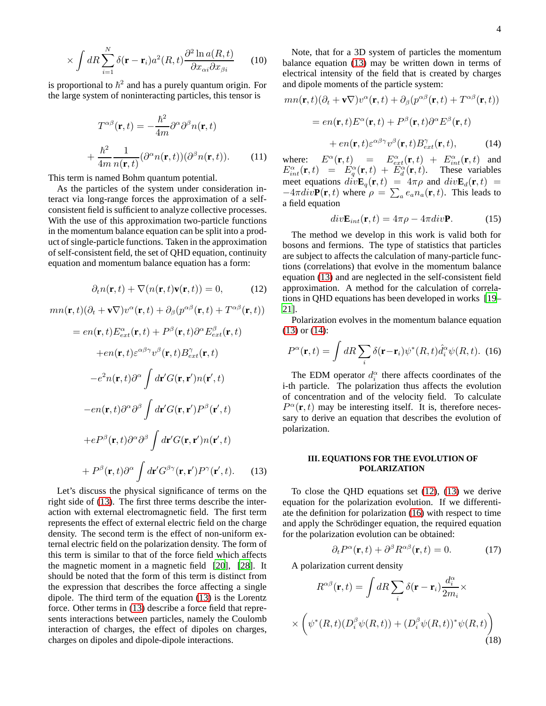$$
\times \int dR \sum_{i=1}^{N} \delta(\mathbf{r} - \mathbf{r}_i) a^2(R, t) \frac{\partial^2 \ln a(R, t)}{\partial x_{\alpha i} \partial x_{\beta i}} \qquad (10)
$$

is proportional to  $\hbar^2$  and has a purely quantum origin. For the large system of noninteracting particles, this tensor is

<span id="page-3-6"></span>
$$
T^{\alpha\beta}(\mathbf{r},t) = -\frac{\hbar^2}{4m}\partial^{\alpha}\partial^{\beta}n(\mathbf{r},t)
$$

$$
+\frac{\hbar^2}{4m}\frac{1}{n(\mathbf{r},t)}(\partial^{\alpha}n(\mathbf{r},t))(\partial^{\beta}n(\mathbf{r},t)).\tag{11}
$$

This term is named Bohm quantum potential.

As the particles of the system under consideration interact via long-range forces the approximation of a selfconsistent field is sufficient to analyze collective processes. With the use of this approximation two-particle functions in the momentum balance equation can be split into a product of single-particle functions. Taken in the approximation of self-consistent field, the set of QHD equation, continuity equation and momentum balance equation has a form:

<span id="page-3-2"></span>
$$
\partial_t n(\mathbf{r}, t) + \nabla(n(\mathbf{r}, t)\mathbf{v}(\mathbf{r}, t)) = 0,\tag{12}
$$

$$
mn(\mathbf{r},t)(\partial_t + \mathbf{v}\nabla)v^{\alpha}(\mathbf{r},t) + \partial_{\beta}(p^{\alpha\beta}(\mathbf{r},t) + T^{\alpha\beta}(\mathbf{r},t))
$$

$$
= en(\mathbf{r},t)E_{ext}^{\alpha}(\mathbf{r},t) + P^{\beta}(\mathbf{r},t)\partial^{\alpha}E_{ext}^{\beta}(\mathbf{r},t) \n+ en(\mathbf{r},t)\varepsilon^{\alpha\beta\gamma}v^{\beta}(\mathbf{r},t)B_{ext}^{\gamma}(\mathbf{r},t) \n-e^{2}n(\mathbf{r},t)\partial^{\alpha}\int d\mathbf{r}'G(\mathbf{r},\mathbf{r}')n(\mathbf{r}',t) \n- en(\mathbf{r},t)\partial^{\alpha}\partial^{\beta}\int d\mathbf{r}'G(\mathbf{r},\mathbf{r}')P^{\beta}(\mathbf{r}',t) \n+ e^{2\beta}(\mathbf{r},t)\partial^{\alpha}\partial^{\beta}\int d\mathbf{r}'G(\mathbf{r},\mathbf{r}')n(\mathbf{r}',t) \n+ P^{\beta}(\mathbf{r},t)\partial^{\alpha}\int d\mathbf{r}'G^{\beta\gamma}(\mathbf{r},\mathbf{r}')P^{\gamma}(\mathbf{r}',t). \quad (13)
$$

<span id="page-3-0"></span>Let's discuss the physical significance of terms on the right side of [\(13\)](#page-3-0). The first three terms describe the interaction with external electromagnetic field. The first term represents the effect of external electric field on the charge density. The second term is the effect of non-uniform external electric field on the polarization density. The form of this term is similar to that of the force field which affects the magnetic moment in a magnetic field [20], [\[28](#page-13-4)]. It should be noted that the form of this term is distinct from the expression that describes the force affecting a single dipole. The third term of the equation [\(13\)](#page-3-0) is the Lorentz force. Other terms in [\(13\)](#page-3-0) describe a force field that represents interactions between particles, namely the Coulomb interaction of charges, the effect of dipoles on charges, charges on dipoles and dipole-dipole interactions.

Note, that for a 3D system of particles the momentum balance equation [\(13\)](#page-3-0) may be written down in terms of electrical intensity of the field that is created by charges and dipole moments of the particle system:

$$
mn(\mathbf{r},t)(\partial_t + \mathbf{v}\nabla)v^{\alpha}(\mathbf{r},t) + \partial_{\beta}(p^{\alpha\beta}(\mathbf{r},t) + T^{\alpha\beta}(\mathbf{r},t))
$$
  
=  $en(\mathbf{r},t)E^{\alpha}(\mathbf{r},t) + P^{\beta}(\mathbf{r},t)\partial^{\alpha}E^{\beta}(\mathbf{r},t)$   
+  $en(\mathbf{r},t)\varepsilon^{\alpha\beta\gamma}v^{\beta}(\mathbf{r},t)B_{ext}^{\gamma}(\mathbf{r},t),$  (14)

<span id="page-3-1"></span>where:  $E^{\alpha}(\mathbf{r},t) = E^{\alpha}_{ext}(\mathbf{r},t) + E^{\alpha}_{int}(\mathbf{r},t)$  and  $E_{int}^{\alpha}(\mathbf{r},t) = E_{q}^{\alpha}(\mathbf{r},t) + E_{d}^{\alpha}(\mathbf{r},t)$ . These variables meet equations  $div\mathbf{E}_q(\mathbf{r}, t) = 4\pi\rho$  and  $div\mathbf{E}_d(\mathbf{r}, t) =$  $-4\pi div \mathbf{P}(\mathbf{r},t)$  where  $\rho = \sum_{a} e_a n_a(\mathbf{r},t)$ . This leads to a field equation

<span id="page-3-4"></span>
$$
divEint(r, t) = 4\pi \rho - 4\pi divP.
$$
 (15)

The method we develop in this work is valid both for bosons and fermions. The type of statistics that particles are subject to affects the calculation of many-particle functions (correlations) that evolve in the momentum balance equation [\(13\)](#page-3-0) and are neglected in the self-consistent field approximation. A method for the calculation of correlations in QHD equations has been developed in works [19– 21].

Polarization evolves in the momentum balance equation [\(13\)](#page-3-0) or [\(14\)](#page-3-1):

<span id="page-3-3"></span>
$$
P^{\alpha}(\mathbf{r},t) = \int dR \sum_{i} \delta(\mathbf{r} - \mathbf{r}_{i}) \psi^{*}(R,t) \hat{d}_{i}^{\alpha} \psi(R,t). \tag{16}
$$

The EDM operator  $d_i^{\alpha}$  there affects coordinates of the i-th particle. The polarization thus affects the evolution of concentration and of the velocity field. To calculate  $P^{\alpha}(\mathbf{r},t)$  may be interesting itself. It is, therefore necessary to derive an equation that describes the evolution of polarization.

## **III. EQUATIONS FOR THE EVOLUTION OF POLARIZATION**

To close the QHD equations set [\(12\)](#page-3-2), [\(13\)](#page-3-0) we derive equation for the polarization evolution. If we differentiate the definition for polarization [\(16\)](#page-3-3) with respect to time and apply the Schrödinger equation, the required equation for the polarization evolution can be obtained:

<span id="page-3-5"></span>
$$
\partial_t P^{\alpha}(\mathbf{r},t) + \partial^{\beta} R^{\alpha\beta}(\mathbf{r},t) = 0.
$$
 (17)

A polarization current density

$$
R^{\alpha\beta}(\mathbf{r},t) = \int dR \sum_{i} \delta(\mathbf{r} - \mathbf{r}_{i}) \frac{d_{i}^{\alpha}}{2m_{i}} \times
$$

$$
\times \left( \psi^{*}(R,t) (D_{i}^{\beta}\psi(R,t)) + (D_{i}^{\beta}\psi(R,t))^{*}\psi(R,t) \right)
$$
(18)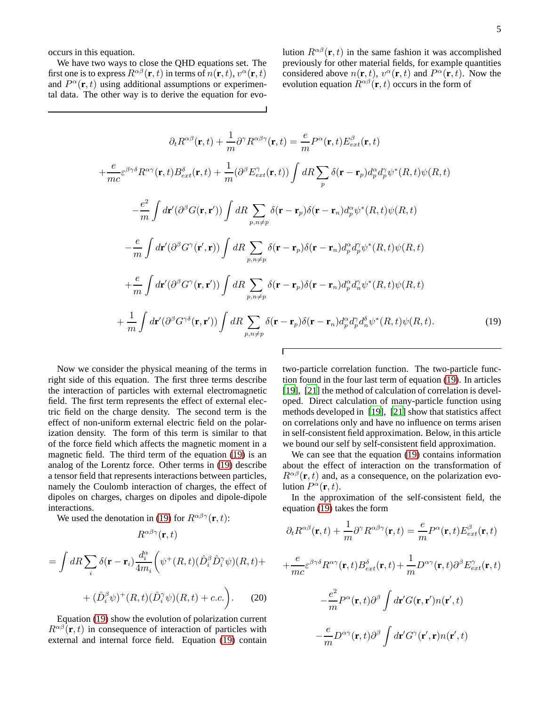occurs in this equation.

We have two ways to close the QHD equations set. The first one is to express  $R^{\alpha\beta}(\mathbf{r},t)$  in terms of  $n(\mathbf{r},t),$   $v^\alpha(\mathbf{r},t)$ and  $P^{\alpha}(\mathbf{r},t)$  using additional assumptions or experimental data. The other way is to derive the equation for evolution  $R^{\alpha\beta}(\mathbf{r},t)$  in the same fashion it was accomplished previously for other material fields, for example quantities considered above  $n(\mathbf{r}, t)$ ,  $v^{\alpha}(\mathbf{r}, t)$  and  $P^{\alpha}(\mathbf{r}, t)$ . Now the evolution equation  $\hat{R}^{\alpha\beta}(\mathbf{r},t)$  occurs in the form of

$$
\partial_{t}R^{\alpha\beta}(\mathbf{r},t) + \frac{1}{m}\partial^{\gamma}R^{\alpha\beta\gamma}(\mathbf{r},t) = \frac{e}{m}P^{\alpha}(\mathbf{r},t)E_{ext}^{\beta}(\mathbf{r},t)
$$

$$
+ \frac{e}{mc}\varepsilon^{\beta\gamma\delta}R^{\alpha\gamma}(\mathbf{r},t)B_{ext}^{\delta}(\mathbf{r},t) + \frac{1}{m}(\partial^{\beta}E_{ext}^{\gamma}(\mathbf{r},t))\int dR\sum_{p}\delta(\mathbf{r}-\mathbf{r}_{p})d_{p}^{\alpha}d_{p}^{\gamma}\psi^{*}(R,t)\psi(R,t)
$$

$$
- \frac{e^{2}}{m}\int d\mathbf{r}'(\partial^{\beta}G(\mathbf{r},\mathbf{r}'))\int dR\sum_{p,n\neq p}\delta(\mathbf{r}-\mathbf{r}_{p})\delta(\mathbf{r}-\mathbf{r}_{n})d_{p}^{\alpha}\psi^{*}(R,t)\psi(R,t)
$$

$$
- \frac{e}{m}\int d\mathbf{r}'(\partial^{\beta}G^{\gamma}(\mathbf{r}',\mathbf{r}))\int dR\sum_{p,n\neq p}\delta(\mathbf{r}-\mathbf{r}_{p})\delta(\mathbf{r}-\mathbf{r}_{n})d_{p}^{\alpha}d_{p}^{\gamma}\psi^{*}(R,t)\psi(R,t)
$$

$$
+ \frac{e}{m}\int d\mathbf{r}'(\partial^{\beta}G^{\gamma}(\mathbf{r},\mathbf{r}'))\int dR\sum_{p,n\neq p}\delta(\mathbf{r}-\mathbf{r}_{p})\delta(\mathbf{r}-\mathbf{r}_{n})d_{p}^{\alpha}d_{n}^{\gamma}\psi^{*}(R,t)\psi(R,t)
$$

$$
+ \frac{1}{m}\int d\mathbf{r}'(\partial^{\beta}G^{\gamma\delta}(\mathbf{r},\mathbf{r}'))\int dR\sum_{p,n\neq p}\delta(\mathbf{r}-\mathbf{r}_{p})\delta(\mathbf{r}-\mathbf{r}_{n})d_{p}^{\alpha}d_{p}^{\gamma}d_{n}^{\delta}\psi^{*}(R,t)\psi(R,t).
$$
(19)

<span id="page-4-0"></span>Now we consider the physical meaning of the terms in right side of this equation. The first three terms describe the interaction of particles with external electromagnetic field. The first term represents the effect of external electric field on the charge density. The second term is the effect of non-uniform external electric field on the polarization density. The form of this term is similar to that of the force field which affects the magnetic moment in a magnetic field. The third term of the equation [\(19\)](#page-4-0) is an analog of the Lorentz force. Other terms in [\(19\)](#page-4-0) describe a tensor field that represents interactions between particles, namely the Coulomb interaction of charges, the effect of dipoles on charges, charges on dipoles and dipole-dipole interactions.

We used the denotation in [\(19\)](#page-4-0) for  $R^{\alpha\beta\gamma}(\mathbf{r},t)$ :

$$
R^{\alpha\beta\gamma}(\mathbf{r},t)
$$
  
= 
$$
\int dR \sum_{i} \delta(\mathbf{r} - \mathbf{r}_{i}) \frac{d_{i}^{\alpha}}{4m_{i}} \left( \psi^{+}(R,t) (\hat{D}_{i}^{\beta} \hat{D}_{i}^{\gamma} \psi)(R,t) + (\hat{D}_{i}^{\beta} \psi)^{+}(R,t) (\hat{D}_{i}^{\gamma} \psi)(R,t) + c.c. \right).
$$
 (20)

Equation [\(19\)](#page-4-0) show the evolution of polarization current  $R^{\alpha\beta}(\mathbf{r},t)$  in consequence of interaction of particles with external and internal force field. Equation [\(19\)](#page-4-0) contain two-particle correlation function. The two-particle function found in the four last term of equation [\(19\)](#page-4-0). In articles [19], [21] the method of calculation of correlation is developed. Direct calculation of many-particle function using methods developed in [19], [21] show that statistics affect on correlations only and have no influence on terms arisen in self-consistent field approximation. Below, in this article we bound our self by self-consistent field approximation.

We can see that the equation [\(19\)](#page-4-0) contains information about the effect of interaction on the transformation of  $R^{\alpha\beta}(\mathbf{r},t)$  and, as a consequence, on the polarization evolution  $P^{\alpha}(\mathbf{r},t)$ .

In the approximation of the self-consistent field, the equation [\(19\)](#page-4-0) takes the form

$$
\partial_t R^{\alpha\beta}(\mathbf{r},t) + \frac{1}{m} \partial^{\gamma} R^{\alpha\beta\gamma}(\mathbf{r},t) = \frac{e}{m} P^{\alpha}(\mathbf{r},t) E^{\beta}_{ext}(\mathbf{r},t)
$$

$$
+ \frac{e}{mc} \varepsilon^{\beta\gamma\delta} R^{\alpha\gamma}(\mathbf{r},t) B^{\delta}_{ext}(\mathbf{r},t) + \frac{1}{m} D^{\alpha\gamma}(\mathbf{r},t) \partial^{\beta} E^{\gamma}_{ext}(\mathbf{r},t)
$$

$$
- \frac{e^2}{m} P^{\alpha}(\mathbf{r},t) \partial^{\beta} \int d\mathbf{r}' G(\mathbf{r},\mathbf{r}') n(\mathbf{r}',t)
$$

$$
- \frac{e}{m} D^{\alpha\gamma}(\mathbf{r},t) \partial^{\beta} \int d\mathbf{r}' G^{\gamma}(\mathbf{r}',\mathbf{r}) n(\mathbf{r}',t)
$$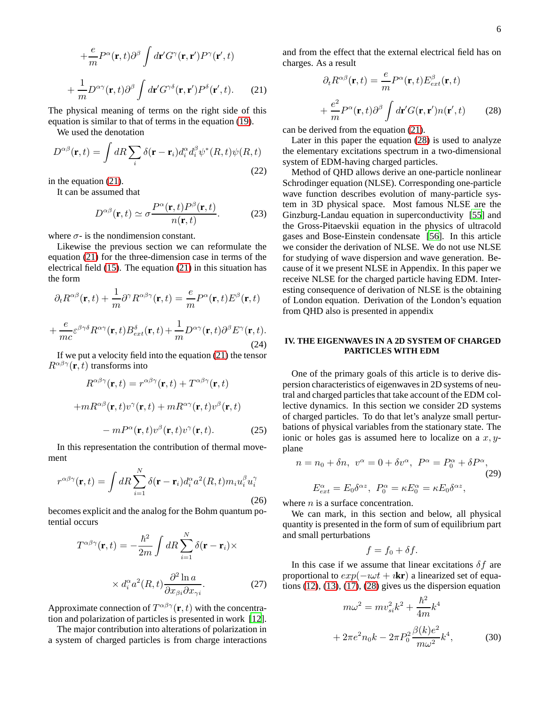$$
+\frac{e}{m}P^{\alpha}(\mathbf{r},t)\partial^{\beta}\int d\mathbf{r}'G^{\gamma}(\mathbf{r},\mathbf{r}')P^{\gamma}(\mathbf{r}',t) + \frac{1}{m}D^{\alpha\gamma}(\mathbf{r},t)\partial^{\beta}\int d\mathbf{r}'G^{\gamma\delta}(\mathbf{r},\mathbf{r}')P^{\delta}(\mathbf{r}',t).
$$
 (21)

<span id="page-5-0"></span>The physical meaning of terms on the right side of this equation is similar to that of terms in the equation [\(19\)](#page-4-0).

We used the denotation

$$
D^{\alpha\beta}(\mathbf{r},t) = \int dR \sum_{i} \delta(\mathbf{r} - \mathbf{r}_{i}) d_{i}^{\alpha} d_{i}^{\beta} \psi^{*}(R,t) \psi(R,t)
$$
\n(22)

in the equation [\(21\)](#page-5-0).

It can be assumed that

<span id="page-5-3"></span>
$$
D^{\alpha\beta}(\mathbf{r},t) \simeq \sigma \frac{P^{\alpha}(\mathbf{r},t)P^{\beta}(\mathbf{r},t)}{n(\mathbf{r},t)}.\tag{23}
$$

where  $\sigma$ - is the nondimension constant.

Likewise the previous section we can reformulate the equation [\(21\)](#page-5-0) for the three-dimension case in terms of the electrical field [\(15\)](#page-3-4). The equation [\(21\)](#page-5-0) in this situation has the form

$$
\partial_t R^{\alpha\beta}(\mathbf{r},t) + \frac{1}{m} \partial^{\gamma} R^{\alpha\beta\gamma}(\mathbf{r},t) = \frac{e}{m} P^{\alpha}(\mathbf{r},t) E^{\beta}(\mathbf{r},t)
$$

$$
+ \frac{e}{mc} \varepsilon^{\beta\gamma\delta} R^{\alpha\gamma}(\mathbf{r},t) B^{\delta}_{ext}(\mathbf{r},t) + \frac{1}{m} D^{\alpha\gamma}(\mathbf{r},t) \partial^{\beta} E^{\gamma}(\mathbf{r},t). \tag{24}
$$

<span id="page-5-4"></span>If we put a velocity field into the equation [\(21\)](#page-5-0) the tensor  $R^{\alpha\beta\gamma}(\mathbf{r},t)$  transforms into

$$
R^{\alpha\beta\gamma}(\mathbf{r},t) = r^{\alpha\beta\gamma}(\mathbf{r},t) + T^{\alpha\beta\gamma}(\mathbf{r},t)
$$

$$
+ mR^{\alpha\beta}(\mathbf{r},t)v^{\gamma}(\mathbf{r},t) + mR^{\alpha\gamma}(\mathbf{r},t)v^{\beta}(\mathbf{r},t)
$$

$$
- mP^{\alpha}(\mathbf{r},t)v^{\beta}(\mathbf{r},t)v^{\gamma}(\mathbf{r},t). \tag{25}
$$

In this representation the contribution of thermal movement

$$
r^{\alpha\beta\gamma}(\mathbf{r},t) = \int dR \sum_{i=1}^{N} \delta(\mathbf{r} - \mathbf{r}_i) d_i^{\alpha} a^2(R,t) m_i u_i^{\beta} u_i^{\gamma}
$$
\n(26)

becomes explicit and the analog for the Bohm quantum potential occurs

$$
T^{\alpha\beta\gamma}(\mathbf{r},t) = -\frac{\hbar^2}{2m} \int dR \sum_{i=1}^{N} \delta(\mathbf{r} - \mathbf{r}_i) \times
$$

$$
\times d_i^{\alpha} a^2(R,t) \frac{\partial^2 \ln a}{\partial x_{\beta i} \partial x_{\gamma i}}.
$$
(27)

Approximate connection of  $T^{\alpha\beta\gamma}(\mathbf{r},t)$  with the concentration and polarization of particles is presented in work [12].

The major contribution into alterations of polarization in a system of charged particles is from charge interactions

and from the effect that the external electrical field has on charges. As a result

<span id="page-5-1"></span>
$$
\partial_t R^{\alpha\beta}(\mathbf{r},t) = \frac{e}{m} P^{\alpha}(\mathbf{r},t) E_{ext}^{\beta}(\mathbf{r},t)
$$

$$
+ \frac{e^2}{m} P^{\alpha}(\mathbf{r},t) \partial^{\beta} \int d\mathbf{r}' G(\mathbf{r},\mathbf{r}') n(\mathbf{r}',t) \qquad (28)
$$

can be derived from the equation [\(21\)](#page-5-0).

Later in this paper the equation [\(28\)](#page-5-1) is used to analyze the elementary excitations spectrum in a two-dimensional system of EDM-having charged particles.

Method of QHD allows derive an one-particle nonlinear Schrodinger equation (NLSE). Corresponding one-particle wave function describes evolution of many-particle system in 3D physical space. Most famous NLSE are the Ginzburg-Landau equation in superconductivity [55] and the Gross-Pitaevskii equation in the physics of ultracold gases and Bose-Einstein condensate [56]. In this article we consider the derivation of NLSE. We do not use NLSE for studying of wave dispersion and wave generation. Because of it we present NLSE in Appendix. In this paper we receive NLSE for the charged particle having EDM. Interesting consequence of derivation of NLSE is the obtaining of London equation. Derivation of the London's equation from QHD also is presented in appendix

# **IV. THE EIGENWAVES IN A 2D SYSTEM OF CHARGED PARTICLES WITH EDM**

One of the primary goals of this article is to derive dispersion characteristics of eigenwaves in 2D systems of neutral and charged particles that take account of the EDM collective dynamics. In this section we consider 2D systems of charged particles. To do that let's analyze small perturbations of physical variables from the stationary state. The ionic or holes gas is assumed here to localize on a  $x, y$ plane

$$
n = n_0 + \delta n, \ v^{\alpha} = 0 + \delta v^{\alpha}, \ P^{\alpha} = P_0^{\alpha} + \delta P^{\alpha},
$$
  
(29)  

$$
E_{ext}^{\alpha} = E_0 \delta^{\alpha z}, \ P_0^{\alpha} = \kappa E_0^{\alpha} = \kappa E_0 \delta^{\alpha z},
$$

where  $n$  is a surface concentration.

We can mark, in this section and below, all physical quantity is presented in the form of sum of equilibrium part and small perturbations

$$
f = f_0 + \delta f.
$$

In this case if we assume that linear excitations  $\delta f$  are proportional to  $exp(-i\omega t + i\mathbf{k}\mathbf{r})$  a linearized set of equations  $(12)$ ,  $(13)$ ,  $(17)$ ,  $(28)$  gives us the dispersion equation

<span id="page-5-2"></span>
$$
m\omega^2 = mv_{si}^2 k^2 + \frac{\hbar^2}{4m} k^4
$$

$$
+ 2\pi e^2 n_0 k - 2\pi P_0^2 \frac{\beta(k)e^2}{m\omega^2} k^4,
$$
(30)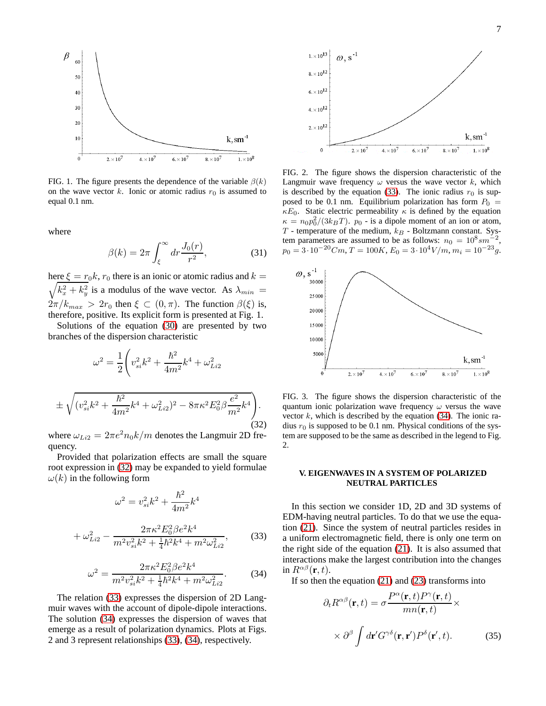

FIG. 1. The figure presents the dependence of the variable  $\beta(k)$ on the wave vector k. Ionic or atomic radius  $r_0$  is assumed to equal 0.1 nm.

where

± <sup>1</sup>

quency.

 $(v_{si}^2k^2 + )$ 

<span id="page-6-4"></span>
$$
\beta(k) = 2\pi \int_{\xi}^{\infty} dr \frac{J_0(r)}{r^2},
$$
\n(31)

 $\setminus$ .

here  $\xi = r_0 k$ ,  $r_0$  there is an ionic or atomic radius and  $k =$  $\sqrt{k_x^2 + k_y^2}$  is a modulus of the wave vector. As  $\lambda_{min}$  =  $2\pi/k_{max} > 2r_0$  then  $\xi \subset (0, \pi)$ . The function  $\beta(\xi)$  is, therefore, positive. Its explicit form is presented at Fig. 1.

Solutions of the equation [\(30\)](#page-5-2) are presented by two branches of the dispersion characteristic

$$
\omega^2 = \frac{1}{2} \left( v_{si}^2 k^2 + \frac{\hbar^2}{4m^2} k^4 + \omega_{Li2}^2 \right)
$$

$$
(v_{si}^2 k^2 + \frac{\hbar^2}{4m^2} k^4 + \omega_{Li2}^2)^2 - 8\pi \kappa^2 E_0^2 \beta \frac{e^2}{m^2}
$$

<span id="page-6-0"></span> $\frac{c}{m^2}k^4$ (32) where  $\omega_{Li2} = 2\pi e^2 n_0 k/m$  denotes the Langmuir 2D fre-

Provided that polarization effects are small the square root expression in [\(32\)](#page-6-0) may be expanded to yield formulae  $\omega(k)$  in the following form

$$
\omega^{2} = v_{si}^{2}k^{2} + \frac{\hbar^{2}}{4m^{2}}k^{4}
$$

$$
v_{i}^{2} = \frac{2\pi\kappa^{2}E_{0}^{2}\beta e^{2}k^{4}}{(4\pi)^{2}} \tag{3}
$$

<span id="page-6-1"></span>
$$
+\omega_{Li2}^2 - \frac{2m}{m^2 v_{si}^2 k^2 + \frac{1}{4} \hbar^2 k^4 + m^2 \omega_{Li2}^2},\tag{33}
$$

<span id="page-6-2"></span>
$$
\omega^2 = \frac{2\pi\kappa^2 E_0^2 \beta e^2 k^4}{m^2 v_{si}^2 k^2 + \frac{1}{4} \hbar^2 k^4 + m^2 \omega_{Li2}^2}.
$$
 (34)

The relation [\(33\)](#page-6-1) expresses the dispersion of 2D Langmuir waves with the account of dipole-dipole interactions. The solution [\(34\)](#page-6-2) expresses the dispersion of waves that emerge as a result of polarization dynamics. Plots at Figs. 2 and 3 represent relationships [\(33\)](#page-6-1), [\(34\)](#page-6-2), respectively.



FIG. 2. The figure shows the dispersion characteristic of the Langmuir wave frequency  $\omega$  versus the wave vector k, which is described by the equation [\(33\)](#page-6-1). The ionic radius  $r_0$  is supposed to be 0.1 nm. Equilibrium polarization has form  $P_0$  =  $\kappa E_0$ . Static electric permeability  $\kappa$  is defined by the equation  $\kappa = n_0 p_0^2/(3k_B T)$ .  $p_0$  - is a dipole moment of an ion or atom,  $T$  - temperature of the medium,  $k_B$  - Boltzmann constant. System parameters are assumed to be as follows:  $n_0 = 10^8 s m^{-2}$ ,  $p_0 = 3 \cdot 10^{-20} Cm$ ,  $T = 100K$ ,  $E_0 = 3 \cdot 10^4 V/m$ ,  $m_i = 10^{-23} g$ .



FIG. 3. The figure shows the dispersion characteristic of the quantum ionic polarization wave frequency  $\omega$  versus the wave vector  $k$ , which is described by the equation [\(34\)](#page-6-2). The ionic radius  $r_0$  is supposed to be 0.1 nm. Physical conditions of the system are supposed to be the same as described in the legend to Fig. 2.

## **V. EIGENWAVES IN A SYSTEM OF POLARIZED NEUTRAL PARTICLES**

In this section we consider 1D, 2D and 3D systems of EDM-having neutral particles. To do that we use the equation [\(21\)](#page-5-0). Since the system of neutral particles resides in a uniform electromagnetic field, there is only one term on the right side of the equation [\(21\)](#page-5-0). It is also assumed that interactions make the largest contribution into the changes in  $R^{\alpha\beta}(\mathbf{r},t)$ .

If so then the equation  $(21)$  and  $(23)$  transforms into

<span id="page-6-3"></span>
$$
\partial_t R^{\alpha\beta}(\mathbf{r}, t) = \sigma \frac{P^{\alpha}(\mathbf{r}, t) P^{\gamma}(\mathbf{r}, t)}{mn(\mathbf{r}, t)} \times \left\{\frac{\partial^{\beta}}{\partial \mathbf{r}^{\prime} G^{\gamma\delta}(\mathbf{r}, \mathbf{r}^{\prime}) P^{\delta}(\mathbf{r}^{\prime}, t)}\right\}.
$$
\n(35)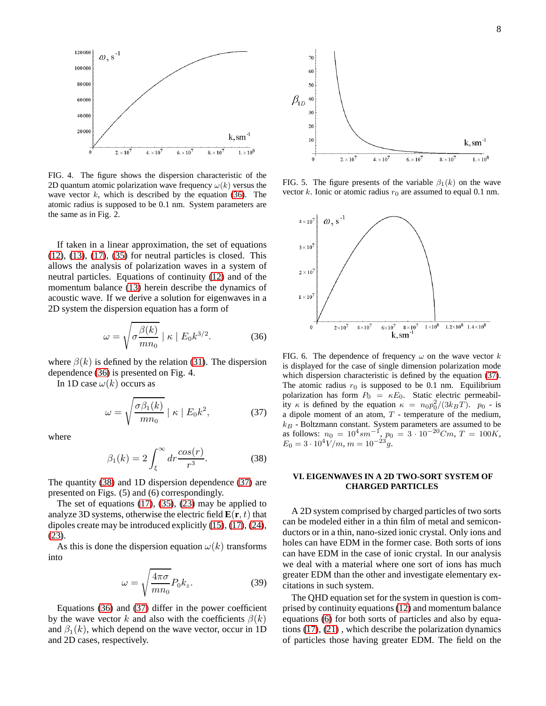

FIG. 4. The figure shows the dispersion characteristic of the 2D quantum atomic polarization wave frequency  $\omega(k)$  versus the wave vector  $k$ , which is described by the equation [\(36\)](#page-7-0). The atomic radius is supposed to be 0.1 nm. System parameters are the same as in Fig. 2.

If taken in a linear approximation, the set of equations  $(12)$ ,  $(13)$ ,  $(17)$ ,  $(35)$  for neutral particles is closed. This allows the analysis of polarization waves in a system of neutral particles. Equations of continuity [\(12\)](#page-3-2) and of the momentum balance [\(13\)](#page-3-0) herein describe the dynamics of acoustic wave. If we derive a solution for eigenwaves in a 2D system the dispersion equation has a form of

<span id="page-7-0"></span>
$$
\omega = \sqrt{\sigma \frac{\beta(k)}{mn_0}} \mid \kappa \mid E_0 k^{3/2}.
$$
 (36)

where  $\beta(k)$  is defined by the relation [\(31\)](#page-6-4). The dispersion dependence [\(36\)](#page-7-0) is presented on Fig. 4.

In 1D case  $\omega(k)$  occurs as

<span id="page-7-2"></span>
$$
\omega = \sqrt{\frac{\sigma \beta_1(k)}{mn_0}} \mid \kappa \mid E_0 k^2,
$$
 (37)

where

<span id="page-7-1"></span>
$$
\beta_1(k) = 2 \int_{\xi}^{\infty} dr \frac{\cos(r)}{r^3}.
$$
 (38)

The quantity [\(38\)](#page-7-1) and 1D dispersion dependence [\(37\)](#page-7-2) are presented on Figs. (5) and (6) correspondingly.

The set of equations [\(17\)](#page-3-5), [\(35\)](#page-6-3), [\(23\)](#page-5-3) may be applied to analyze 3D systems, otherwise the electric field  $\mathbf{E}(\mathbf{r}, t)$  that dipoles create may be introduced explicitly [\(15\)](#page-3-4), [\(17\)](#page-3-5), [\(24\)](#page-5-4), [\(23\)](#page-5-3).

As this is done the dispersion equation  $\omega(k)$  transforms into

<span id="page-7-3"></span>
$$
\omega = \sqrt{\frac{4\pi\sigma}{mn_0}} P_0 k_z.
$$
 (39)

Equations [\(36\)](#page-7-0) and [\(37\)](#page-7-2) differ in the power coefficient by the wave vector k and also with the coefficients  $\beta(k)$ and  $\beta_1(k)$ , which depend on the wave vector, occur in 1D and 2D cases, respectively.



FIG. 5. The figure presents of the variable  $\beta_1(k)$  on the wave vector k. Ionic or atomic radius  $r_0$  are assumed to equal 0.1 nm.



FIG. 6. The dependence of frequency  $\omega$  on the wave vector k is displayed for the case of single dimension polarization mode which dispersion characteristic is defined by the equation [\(37\)](#page-7-2). The atomic radius  $r_0$  is supposed to be 0.1 nm. Equilibrium polarization has form  $P_0 = \kappa E_0$ . Static electric permeability  $\kappa$  is defined by the equation  $\kappa = n_0 p_0^2/(3k_B T)$ .  $p_0$  - is a dipole moment of an atom,  $T$  - temperature of the medium,  $k_B$  - Boltzmann constant. System parameters are assumed to be as follows:  $n_0 = 10^4 s m^{-1}$ ,  $p_0 = 3 \cdot 10^{-20} C m$ ,  $T = 100 K$ ,  $E_0 = 3 \cdot 10^4 \text{V/m}, m = 10^{-23} \text{g}.$ 

# **VI. EIGENWAVES IN A 2D TWO-SORT SYSTEM OF CHARGED PARTICLES**

A 2D system comprised by charged particles of two sorts can be modeled either in a thin film of metal and semiconductors or in a thin, nano-sized ionic crystal. Only ions and holes can have EDM in the former case. Both sorts of ions can have EDM in the case of ionic crystal. In our analysis we deal with a material where one sort of ions has much greater EDM than the other and investigate elementary excitations in such system.

The QHD equation set for the system in question is comprised by continuity equations [\(12\)](#page-3-2) and momentum balance equations [\(6\)](#page-2-5) for both sorts of particles and also by equations [\(17\)](#page-3-5), [\(21\)](#page-5-0) , which describe the polarization dynamics of particles those having greater EDM. The field on the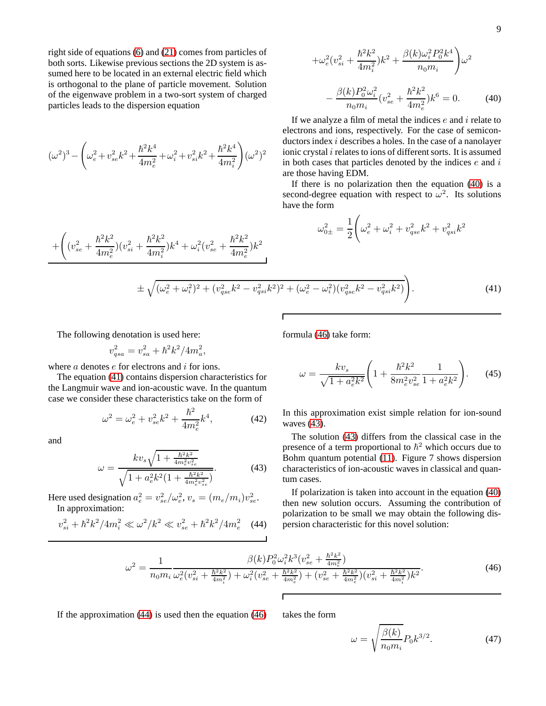right side of equations [\(6\)](#page-2-5) and [\(21\)](#page-5-0) comes from particles of both sorts. Likewise previous sections the 2D system is assumed here to be located in an external electric field which is orthogonal to the plane of particle movement. Solution of the eigenwave problem in a two-sort system of charged particles leads to the dispersion equation

$$
(\omega^2)^3-\Bigg(\omega_{e}^2+v_{se}^2k^2+\frac{\hbar^2k^4}{4m_{e}^2}+\omega_{i}^2+v_{si}^2k^2+\frac{\hbar^2k^4}{4m_{i}^2}\Bigg)(\omega^2)^2
$$

 $\hbar^2 k^2$  $4m_i^2$ 

 $\int k^4 + \omega_i^2 (v_{se}^2 +$ 

 $\hbar^2 k^2$  $4m_e^2$ 

 $\left( k^2 \right)$ 

<span id="page-8-0"></span>
$$
+\omega_e^2 (v_{si}^2 + \frac{\hbar^2 k^2}{4m_i^2}) k^2 + \frac{\beta(k)\omega_i^2 P_0^2 k^4}{n_0 m_i} \omega^2
$$

$$
-\frac{\beta(k) P_0^2 \omega_i^2}{n_0 m_i} (v_{se}^2 + \frac{\hbar^2 k^2}{4m_e^2}) k^6 = 0.
$$
 (40)

If we analyze a film of metal the indices  $e$  and  $i$  relate to electrons and ions, respectively. For the case of semiconductors index i describes a holes. In the case of a nanolayer ionic crystal  $i$  relates to ions of different sorts. It is assumed in both cases that particles denoted by the indices  $e$  and  $i$ are those having EDM.

If there is no polarization then the equation [\(40\)](#page-8-0) is a second-degree equation with respect to  $\omega^2$ . Its solutions have the form

$$
\omega_{0\pm}^2 = \frac{1}{2} \Bigg( \omega_e^2 + \omega_i^2 + v_{qse}^2 k^2 + v_{qsi}^2 k^2
$$

<span id="page-8-1"></span>
$$
\pm \sqrt{(\omega_e^2 + \omega_i^2)^2 + (v_{gse}^2 k^2 - v_{gsi}^2 k^2)^2 + (\omega_e^2 - \omega_i^2)(v_{gse}^2 k^2 - v_{gsi}^2 k^2)}.
$$
\n(41)

The following denotation is used here:

 $)(v_{si}^{2} +$ 

$$
v_{qsa}^2 = v_{sa}^2 + \hbar^2 k^2 / 4 m_a^2,
$$

where  $a$  denotes  $e$  for electrons and  $i$  for ions.

The equation [\(41\)](#page-8-1) contains dispersion characteristics for the Langmuir wave and ion-acoustic wave. In the quantum case we consider these characteristics take on the form of

$$
\omega^2 = \omega_e^2 + v_{se}^2 k^2 + \frac{\hbar^2}{4m_e^2} k^4,\tag{42}
$$

and

 $+$  $\sqrt{2}$ 

 $(v_{se}^2 +$ 

 $\hbar^2 k^2$  $4m_e^2$ 

<span id="page-8-3"></span>
$$
\omega = \frac{k v_s \sqrt{1 + \frac{\hbar^2 k^2}{4 m_e^2 v_{se}^2}}}{\sqrt{1 + a_e^2 k^2 (1 + \frac{\hbar^2 k^2}{4 m_e^2 v_{se}^2})}}.
$$
(43)

Here used designation  $a_e^2 = v_{se}^2/\omega_e^2$ ,  $v_s = (m_e/m_i)v_{se}^2$ . In approximation:

<span id="page-8-4"></span>
$$
v_{si}^2 + \hbar^2 k^2 / 4m_i^2 \ll \omega^2 / k^2 \ll v_{se}^2 + \hbar^2 k^2 / 4m_e^2 \quad (44)
$$

formula [\(46\)](#page-8-2) take form:

<span id="page-8-5"></span>
$$
\omega = \frac{kv_s}{\sqrt{1 + a_e^2 k^2}} \left( 1 + \frac{\hbar^2 k^2}{8m_e^2 v_{se}^2} \frac{1}{1 + a_e^2 k^2} \right). \tag{45}
$$

In this approximation exist simple relation for ion-sound waves [\(43\)](#page-8-3).

The solution [\(43\)](#page-8-3) differs from the classical case in the presence of a term proportional to  $\hbar^2$  which occurs due to Bohm quantum potential [\(11\)](#page-3-6). Figure 7 shows dispersion characteristics of ion-acoustic waves in classical and quantum cases.

If polarization is taken into account in the equation [\(40\)](#page-8-0) then new solution occurs. Assuming the contribution of polarization to be small we may obtain the following dispersion characteristic for this novel solution:

<span id="page-8-2"></span>
$$
\omega^2 = \frac{1}{n_0 m_i} \frac{\beta(k) P_0^2 \omega_i^2 k^3 (v_{se}^2 + \frac{\hbar^2 k^2}{4 m_e^2})}{\omega_e^2 (v_{si}^2 + \frac{\hbar^2 k^2}{4 m_i^2}) + \omega_i^2 (v_{se}^2 + \frac{\hbar^2 k^2}{4 m_e^2}) + (v_{se}^2 + \frac{\hbar^2 k^2}{4 m_e^2}) (v_{si}^2 + \frac{\hbar^2 k^2}{4 m_i^2}) k^2}.
$$
\n(46)

If the approximation  $(44)$  is used then the equation  $(46)$  takes the form

$$
\omega = \sqrt{\frac{\beta(k)}{n_0 m_i}} P_0 k^{3/2}.
$$
\n(47)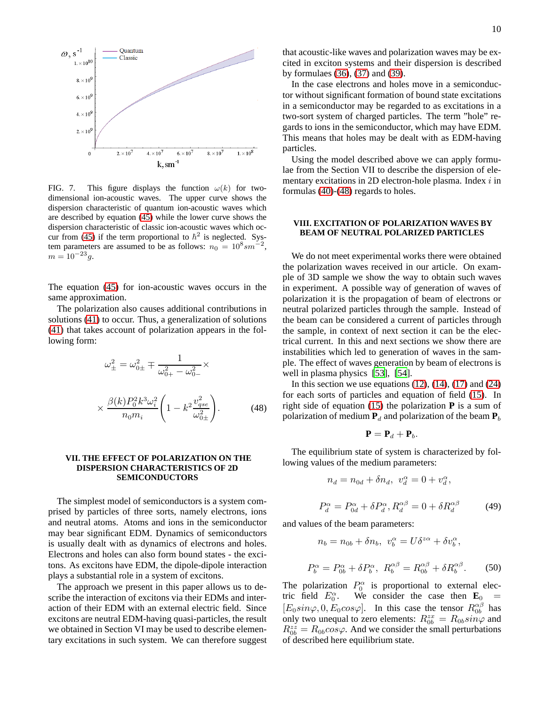

FIG. 7. This figure displays the function  $\omega(k)$  for twodimensional ion-acoustic waves. The upper curve shows the dispersion characteristic of quantum ion-acoustic waves which are described by equation [\(45\)](#page-8-5) while the lower curve shows the dispersion characteristic of classic ion-acoustic waves which oc-cur from [\(45\)](#page-8-5) if the term proportional to  $\hbar^2$  is neglected. System parameters are assumed to be as follows:  $n_0 = 10^8 s m^{-2}$ ,  $m = 10^{-23}g.$ 

The equation [\(45\)](#page-8-5) for ion-acoustic waves occurs in the same approximation.

The polarization also causes additional contributions in solutions [\(41\)](#page-8-1) to occur. Thus, a generalization of solutions [\(41\)](#page-8-1) that takes account of polarization appears in the following form:

<span id="page-9-0"></span>
$$
\omega_{\pm}^{2} = \omega_{0\pm}^{2} \mp \frac{1}{\omega_{0+}^{2} - \omega_{0-}^{2}} \times \times \frac{\beta(k) P_{0}^{2} k^{3} \omega_{i}^{2}}{n_{0} m_{i}} \left(1 - k^{2} \frac{v_{qse}^{2}}{\omega_{0\pm}^{2}}\right).
$$
 (48)

## **VII. THE EFFECT OF POLARIZATION ON THE DISPERSION CHARACTERISTICS OF 2D SEMICONDUCTORS**

The simplest model of semiconductors is a system comprised by particles of three sorts, namely electrons, ions and neutral atoms. Atoms and ions in the semiconductor may bear significant EDM. Dynamics of semiconductors is usually dealt with as dynamics of electrons and holes. Electrons and holes can also form bound states - the excitons. As excitons have EDM, the dipole-dipole interaction plays a substantial role in a system of excitons.

The approach we present in this paper allows us to describe the interaction of excitons via their EDMs and interaction of their EDM with an external electric field. Since excitons are neutral EDM-having quasi-particles, the result we obtained in Section VI may be used to describe elementary excitations in such system. We can therefore suggest that acoustic-like waves and polarization waves may be excited in exciton systems and their dispersion is described by formulaes [\(36\)](#page-7-0), [\(37\)](#page-7-2) and [\(39\)](#page-7-3).

In the case electrons and holes move in a semiconductor without significant formation of bound state excitations in a semiconductor may be regarded to as excitations in a two-sort system of charged particles. The term "hole" regards to ions in the semiconductor, which may have EDM. This means that holes may be dealt with as EDM-having particles.

Using the model described above we can apply formulae from the Section VII to describe the dispersion of elementary excitations in 2D electron-hole plasma. Index  $i$  in formulas [\(40\)](#page-8-0)-[\(48\)](#page-9-0) regards to holes.

#### **VIII. EXCITATION OF POLARIZATION WAVES BY BEAM OF NEUTRAL POLARIZED PARTICLES**

We do not meet experimental works there were obtained the polarization waves received in our article. On example of 3D sample we show the way to obtain such waves in experiment. A possible way of generation of waves of polarization it is the propagation of beam of electrons or neutral polarized particles through the sample. Instead of the beam can be considered a current of particles through the sample, in context of next section it can be the electrical current. In this and next sections we show there are instabilities which led to generation of waves in the sample. The effect of waves generation by beam of electrons is well in plasma physics [53], [54].

In this section we use equations  $(12)$ ,  $(14)$ ,  $(17)$  and  $(24)$ for each sorts of particles and equation of field [\(15\)](#page-3-4). In right side of equation [\(15\)](#page-3-4) the polarization **P** is a sum of polarization of medium  $P_d$  and polarization of the beam  $P_b$ 

$$
\mathbf{P} = \mathbf{P}_d + \mathbf{P}_b.
$$

The equilibrium state of system is characterized by following values of the medium parameters:

$$
n_d = n_{0d} + \delta n_d, \ v_d^{\alpha} = 0 + v_d^{\alpha},
$$

 $P_d^{\alpha} = P_{0d}^{\alpha} + \delta P_d^{\alpha}, R_d^{\alpha\beta} = 0 + \delta R_d^{\alpha\beta}$ (49)

and values of the beam parameters:

$$
n_b = n_{0b} + \delta n_b, \ v_b^{\alpha} = U\delta^{z\alpha} + \delta v_b^{\alpha},
$$
  

$$
P_b^{\alpha} = P_{0b}^{\alpha} + \delta P_b^{\alpha}, \ R_b^{\alpha\beta} = R_{0b}^{\alpha\beta} + \delta R_b^{\alpha\beta}.
$$
 (50)

The polarization  $P_0^{\alpha}$  is proportional to external electric field  $E_0^{\alpha}$ . We consider the case then  $\mathbf{E}_0$  =  $[E_0\sin\varphi, 0, E_0\cos\varphi]$ . In this case the tensor  $R_{0b}^{\alpha\beta}$  has only two unequal to zero elements:  $R_{0b}^{zx} = R_{0b} \sin \varphi$  and  $R_{0b}^{zz} = R_{0b} cos\varphi$ . And we consider the small perturbations of described here equilibrium state.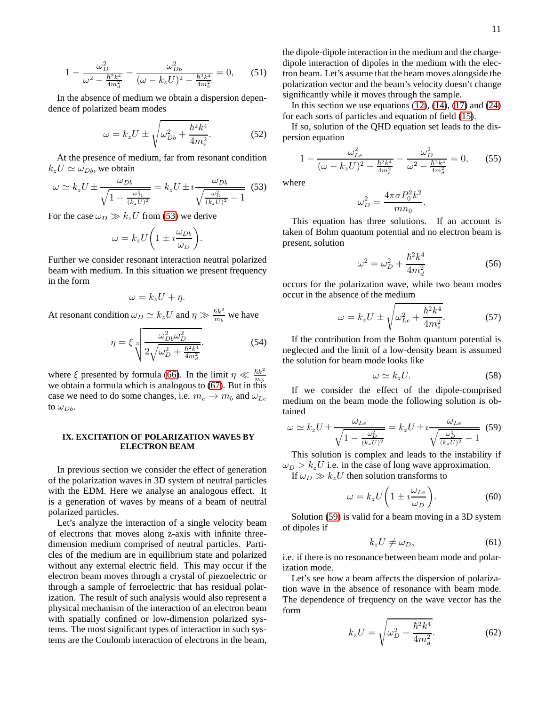$$
1 - \frac{\omega_D^2}{\omega^2 - \frac{\hbar^2 k^4}{4m_d^2}} - \frac{\omega_{Db}^2}{(\omega - k_z U)^2 - \frac{\hbar^2 k^4}{4m_b^2}} = 0, \qquad (51)
$$

In the absence of medium we obtain a dispersion dependence of polarized beam modes

$$
\omega = k_z U \pm \sqrt{\omega_{Db}^2 + \frac{\hbar^2 k^4}{4m_e^2}}.
$$
 (52)

At the presence of medium, far from resonant condition  $k_z U \simeq \omega_{Db}$ , we obtain

<span id="page-10-0"></span>
$$
\omega \simeq k_z U \pm \frac{\omega_{Db}}{\sqrt{1 - \frac{\omega_D^2}{(k_z U)^2}}} = k_z U \pm i \frac{\omega_{Db}}{\sqrt{\frac{\omega_D^2}{(k_z U)^2} - 1}} \tag{53}
$$

For the case  $\omega_D \gg k_z U$  from [\(53\)](#page-10-0) we derive

$$
\omega = k_z U \bigg( 1 \pm i \frac{\omega_{Db}}{\omega_D} \bigg).
$$

Further we consider resonant interaction neutral polarized beam with medium. In this situation we present frequency in the form

$$
\omega = k_z U + \eta.
$$

At resonant condition  $\omega_D \simeq k_z U$  and  $\eta \gg \frac{\hbar k^2}{m_b}$  $\frac{\hbar k^2}{m_b}$  we have

$$
\eta = \xi \sqrt[3]{\frac{\omega_{Db}^2 \omega_D^2}{2\sqrt{\omega_D^2 + \frac{\hbar^2 k^4}{4m_d^2}}}}.
$$
(54)

where  $\xi$  presented by formula [\(66\)](#page-11-0). In the limit  $\eta \ll \frac{\hbar k^2}{m_b}$ where  $\zeta$  presence by formula (60). In the limit  $\eta \ll m_b$ <br>we obtain a formula which is analogous to [\(67\)](#page-11-1). But in this case we need to do some changes, i.e.  $m_e \rightarrow m_b$  and  $\omega_{Le}$ to  $\omega_{Db}$ .

## **IX. EXCITATION OF POLARIZATION WAVES BY ELECTRON BEAM**

In previous section we consider the effect of generation of the polarization waves in 3D system of neutral particles with the EDM. Here we analyse an analogous effect. It is a generation of waves by means of a beam of neutral polarized particles.

Let's analyze the interaction of a single velocity beam of electrons that moves along z-axis with infinite threedimension medium comprised of neutral particles. Particles of the medium are in equilibrium state and polarized without any external electric field. This may occur if the electron beam moves through a crystal of piezoelectric or through a sample of ferroelectric that has residual polarization. The result of such analysis would also represent a physical mechanism of the interaction of an electron beam with spatially confined or low-dimension polarized systems. The most significant types of interaction in such systems are the Coulomb interaction of electrons in the beam,

the dipole-dipole interaction in the medium and the chargedipole interaction of dipoles in the medium with the electron beam. Let's assume that the beam moves alongside the polarization vector and the beam's velocity doesn't change significantly while it moves through the sample.

In this section we use equations  $(12)$ ,  $(14)$ ,  $(17)$  and  $(24)$ for each sorts of particles and equation of field [\(15\)](#page-3-4).

If so, solution of the QHD equation set leads to the dispersion equation

$$
1 - \frac{\omega_{Le}^2}{(\omega - k_z U)^2 - \frac{\hbar^2 k^4}{4m_e^2}} - \frac{\omega_D^2}{\omega^2 - \frac{\hbar^2 k^4}{4m_d^2}} = 0, \qquad (55)
$$

where

$$
\omega_D^2 = \frac{4\pi\sigma P_0^2 k^2}{mn_0}.
$$

This equation has three solutions. If an account is taken of Bohm quantum potential and no electron beam is present, solution

$$
\omega^2 = \omega_D^2 + \frac{\hbar^2 k^4}{4m_d^2} \tag{56}
$$

occurs for the polarization wave, while two beam modes occur in the absence of the medium

$$
\omega = k_z U \pm \sqrt{\omega_{Le}^2 + \frac{\hbar^2 k^4}{4m_e^2}}.
$$
 (57)

If the contribution from the Bohm quantum potential is neglected and the limit of a low-density beam is assumed the solution for beam mode looks like

$$
\omega \simeq k_z U. \tag{58}
$$

If we consider the effect of the dipole-comprised medium on the beam mode the following solution is obtained

<span id="page-10-1"></span>
$$
\omega \simeq k_z U \pm \frac{\omega_{Le}}{\sqrt{1 - \frac{\omega_D^2}{(k_z U)^2}}} = k_z U \pm i \frac{\omega_{Le}}{\sqrt{\frac{\omega_D^2}{(k_z U)^2} - 1}} \tag{59}
$$

This solution is complex and leads to the instability if  $\omega_D > k_z U$  i.e. in the case of long wave approximation.

If  $\omega_D \gg k_z U$  then solution transforms to

$$
\omega = k_z U \bigg( 1 \pm i \frac{\omega_{Le}}{\omega_D} \bigg). \tag{60}
$$

Solution [\(59\)](#page-10-1) is valid for a beam moving in a 3D system of dipoles if

$$
k_z U \neq \omega_D, \tag{61}
$$

i.e. if there is no resonance between beam mode and polarization mode.

Let's see how a beam affects the dispersion of polarization wave in the absence of resonance with beam mode. The dependence of frequency on the wave vector has the form

<span id="page-10-2"></span>
$$
k_z U = \sqrt{\omega_D^2 + \frac{\hbar^2 k^4}{4m_d^2}}.
$$
 (62)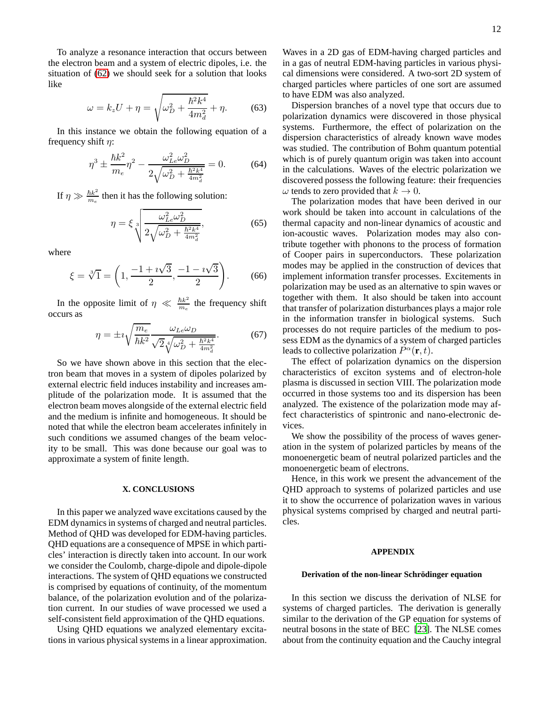To analyze a resonance interaction that occurs between the electron beam and a system of electric dipoles, i.e. the situation of [\(62\)](#page-10-2) we should seek for a solution that looks like

$$
\omega = k_z U + \eta = \sqrt{\omega_D^2 + \frac{\hbar^2 k^4}{4m_d^2}} + \eta. \tag{63}
$$

In this instance we obtain the following equation of a frequency shift  $\eta$ :

$$
\eta^3 \pm \frac{\hbar k^2}{m_e} \eta^2 - \frac{\omega_{Le}^2 \omega_D^2}{2\sqrt{\omega_D^2 + \frac{\hbar^2 k^4}{4m_d^2}}} = 0.
$$
 (64)

If  $\eta \gg \frac{\hbar k^2}{m_e}$  $\frac{\hbar k^2}{m_e}$  then it has the following solution:

$$
\eta = \xi \sqrt[3]{\frac{\omega_{Le}^2 \omega_D^2}{2\sqrt{\omega_D^2 + \frac{\hbar^2 k^4}{4m_d^2}}}},\tag{65}
$$

where

<span id="page-11-0"></span>
$$
\xi = \sqrt[3]{1} = \left(1, \frac{-1 + i\sqrt{3}}{2}, \frac{-1 - i\sqrt{3}}{2}\right). \tag{66}
$$

In the opposite limit of  $\eta \ll \frac{\hbar k^2}{m_e}$  $\frac{\hbar k^2}{m_e}$  the frequency shift occurs as

<span id="page-11-1"></span>
$$
\eta = \pm i \sqrt{\frac{m_e}{\hbar k^2}} \frac{\omega_{Le} \omega_D}{\sqrt{2} \sqrt[4]{\omega_D^2 + \frac{\hbar^2 k^4}{4m_d^2}}}.
$$
(67)

So we have shown above in this section that the electron beam that moves in a system of dipoles polarized by external electric field induces instability and increases amplitude of the polarization mode. It is assumed that the electron beam moves alongside of the external electric field and the medium is infinite and homogeneous. It should be noted that while the electron beam accelerates infinitely in such conditions we assumed changes of the beam velocity to be small. This was done because our goal was to approximate a system of finite length.

#### **X. CONCLUSIONS**

In this paper we analyzed wave excitations caused by the EDM dynamics in systems of charged and neutral particles. Method of QHD was developed for EDM-having particles. QHD equations are a consequence of MPSE in which particles' interaction is directly taken into account. In our work we consider the Coulomb, charge-dipole and dipole-dipole interactions. The system of QHD equations we constructed is comprised by equations of continuity, of the momentum balance, of the polarization evolution and of the polarization current. In our studies of wave processed we used a self-consistent field approximation of the QHD equations.

Using QHD equations we analyzed elementary excitations in various physical systems in a linear approximation.

Waves in a 2D gas of EDM-having charged particles and in a gas of neutral EDM-having particles in various physical dimensions were considered. A two-sort 2D system of charged particles where particles of one sort are assumed to have EDM was also analyzed.

Dispersion branches of a novel type that occurs due to polarization dynamics were discovered in those physical systems. Furthermore, the effect of polarization on the dispersion characteristics of already known wave modes was studied. The contribution of Bohm quantum potential which is of purely quantum origin was taken into account in the calculations. Waves of the electric polarization we discovered possess the following feature: their frequencies  $\omega$  tends to zero provided that  $k \to 0$ .

The polarization modes that have been derived in our work should be taken into account in calculations of the thermal capacity and non-linear dynamics of acoustic and ion-acoustic waves. Polarization modes may also contribute together with phonons to the process of formation of Cooper pairs in superconductors. These polarization modes may be applied in the construction of devices that implement information transfer processes. Excitements in polarization may be used as an alternative to spin waves or together with them. It also should be taken into account that transfer of polarization disturbances plays a major role in the information transfer in biological systems. Such processes do not require particles of the medium to possess EDM as the dynamics of a system of charged particles leads to collective polarization  $P^{\alpha}(\mathbf{r},t)$ .

The effect of polarization dynamics on the dispersion characteristics of exciton systems and of electron-hole plasma is discussed in section VIII. The polarization mode occurred in those systems too and its dispersion has been analyzed. The existence of the polarization mode may affect characteristics of spintronic and nano-electronic devices.

We show the possibility of the process of waves generation in the system of polarized particles by means of the monoenergetic beam of neutral polarized particles and the monoenergetic beam of electrons.

Hence, in this work we present the advancement of the QHD approach to systems of polarized particles and use it to show the occurrence of polarization waves in various physical systems comprised by charged and neutral particles.

## **APPENDIX**

#### **Derivation of the non-linear Schrödinger equation**

In this section we discuss the derivation of NLSE for systems of charged particles. The derivation is generally similar to the derivation of the GP equation for systems of neutral bosons in the state of BEC [23]. The NLSE comes about from the continuity equation and the Cauchy integral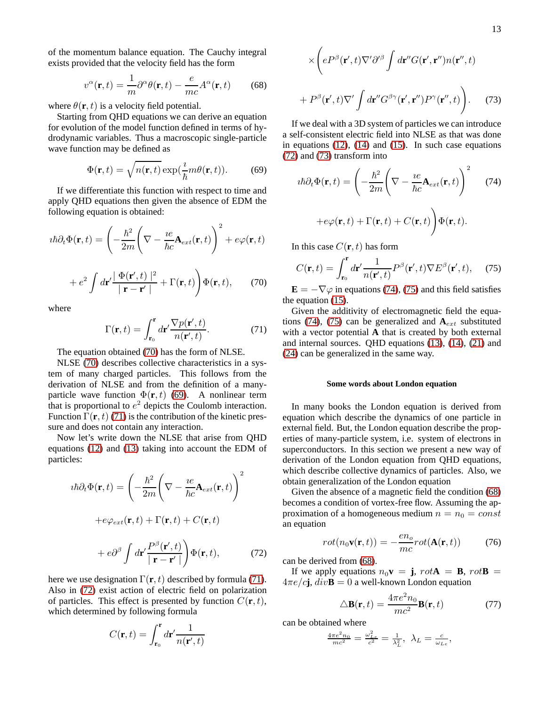of the momentum balance equation. The Cauchy integral exists provided that the velocity field has the form

<span id="page-12-7"></span>
$$
v^{\alpha}(\mathbf{r},t) = \frac{1}{m}\partial^{\alpha}\theta(\mathbf{r},t) - \frac{e}{mc}A^{\alpha}(\mathbf{r},t)
$$
(68)

where  $\theta(\mathbf{r}, t)$  is a velocity field potential.

Starting from QHD equations we can derive an equation for evolution of the model function defined in terms of hydrodynamic variables. Thus a macroscopic single-particle wave function may be defined as

<span id="page-12-1"></span>
$$
\Phi(\mathbf{r},t) = \sqrt{n(\mathbf{r},t)} \exp(\frac{i}{\hbar}m\theta(\mathbf{r},t)).
$$
 (69)

If we differentiate this function with respect to time and apply QHD equations then given the absence of EDM the following equation is obtained:

$$
i\hbar\partial_t \Phi(\mathbf{r},t) = \left(-\frac{\hbar^2}{2m}\left(\nabla - \frac{ie}{\hbar c}\mathbf{A}_{ext}(\mathbf{r},t)\right)^2 + e\varphi(\mathbf{r},t) + e^2 \int d\mathbf{r}' \frac{|\Phi(\mathbf{r}',t)|^2}{|\mathbf{r} - \mathbf{r}'|} + \Gamma(\mathbf{r},t)\right) \Phi(\mathbf{r},t), \quad (70)
$$

<span id="page-12-0"></span>where

<span id="page-12-2"></span>
$$
\Gamma(\mathbf{r},t) = \int_{\mathbf{r}_0}^{\mathbf{r}} d\mathbf{r}' \frac{\nabla p(\mathbf{r}',t)}{n(\mathbf{r}',t)}.
$$
 (71)

The equation obtained [\(70\)](#page-12-0) has the form of NLSE.

NLSE [\(70\)](#page-12-0) describes collective characteristics in a system of many charged particles. This follows from the derivation of NLSE and from the definition of a manyparticle wave function  $\Phi(\mathbf{r}, t)$  [\(69\)](#page-12-1). A nonlinear term that is proportional to  $e^2$  depicts the Coulomb interaction. Function  $\Gamma(\mathbf{r}, t)$  [\(71\)](#page-12-2) is the contribution of the kinetic pressure and does not contain any interaction.

Now let's write down the NLSE that arise from QHD equations [\(12\)](#page-3-2) and [\(13\)](#page-3-0) taking into account the EDM of particles:

$$
i\hbar\partial_t\Phi(\mathbf{r},t) = \left(-\frac{\hbar^2}{2m}\left(\nabla - \frac{ie}{\hbar c}\mathbf{A}_{ext}(\mathbf{r},t)\right)^2 + e\varphi_{ext}(\mathbf{r},t) + \Gamma(\mathbf{r},t) + C(\mathbf{r},t) + e\partial^\beta \int d\mathbf{r}' \frac{P^\beta(\mathbf{r}',t)}{|\mathbf{r} - \mathbf{r}'|}\right)\Phi(\mathbf{r},t),\tag{72}
$$

<span id="page-12-3"></span>here we use designation  $\Gamma(\mathbf{r}, t)$  described by formula [\(71\)](#page-12-2). Also in [\(72\)](#page-12-3) exist action of electric field on polarization of particles. This effect is presented by function  $C(\mathbf{r}, t)$ , which determined by following formula

$$
C(\mathbf{r},t)=\int_{\mathbf{r}_0}^{\mathbf{r}}d\mathbf{r}' \frac{1}{n(\mathbf{r}',t)}
$$

$$
\times \left( eP^{\beta}(\mathbf{r}',t) \nabla' \partial'^{\beta} \int d\mathbf{r}'' G(\mathbf{r}',\mathbf{r}'') n(\mathbf{r}'',t) + P^{\beta}(\mathbf{r}',t) \nabla' \int d\mathbf{r}'' G^{\beta\gamma}(\mathbf{r}',\mathbf{r}'') P^{\gamma}(\mathbf{r}'',t) \right).
$$
 (73)

<span id="page-12-4"></span>If we deal with a 3D system of particles we can introduce a self-consistent electric field into NLSE as that was done in equations  $(12)$ ,  $(14)$  and  $(15)$ . In such case equations [\(72\)](#page-12-3) and [\(73\)](#page-12-4) transform into

<span id="page-12-5"></span>
$$
i\hbar\partial_t \Phi(\mathbf{r},t) = \left(-\frac{\hbar^2}{2m}\left(\nabla - \frac{ie}{\hbar c}\mathbf{A}_{ext}(\mathbf{r},t)\right)^2\right) \tag{74}
$$

$$
+e\varphi(\mathbf{r},t) + \Gamma(\mathbf{r},t) + C(\mathbf{r},t)\right)\Phi(\mathbf{r},t).
$$

In this case  $C(\mathbf{r}, t)$  has form

<span id="page-12-6"></span>
$$
C(\mathbf{r},t) = \int_{\mathbf{r}_0}^{\mathbf{r}} d\mathbf{r}' \frac{1}{n(\mathbf{r}',t)} P^{\beta}(\mathbf{r}',t) \nabla E^{\beta}(\mathbf{r}',t), \quad (75)
$$

 $\mathbf{E} = -\nabla\varphi$  in equations [\(74\)](#page-12-5), [\(75\)](#page-12-6) and this field satisfies the equation [\(15\)](#page-3-4).

Given the additivity of electromagnetic field the equa-tions [\(74\)](#page-12-5), [\(75\)](#page-12-6) can be generalized and  $A_{ext}$  substituted with a vector potential **A** that is created by both external and internal sources. QHD equations [\(13\)](#page-3-0), [\(14\)](#page-3-1), [\(21\)](#page-5-0) and [\(24\)](#page-5-4) can be generalized in the same way.

### **Some words about London equation**

In many books the London equation is derived from equation which describe the dynamics of one particle in external field. But, the London equation describe the properties of many-particle system, i.e. system of electrons in superconductors. In this section we present a new way of derivation of the London equation from QHD equations, which describe collective dynamics of particles. Also, we obtain generalization of the London equation

Given the absence of a magnetic field the condition [\(68\)](#page-12-7) becomes a condition of vortex-free flow. Assuming the approximation of a homogeneous medium  $n = n_0 = const$ an equation

$$
rot(n_0 \mathbf{v}(\mathbf{r}, t)) = -\frac{en_o}{mc} rot(\mathbf{A}(\mathbf{r}, t))
$$
 (76)

can be derived from [\(68\)](#page-12-7).

If we apply equations  $n_0$ **v** = **j**,  $rot\mathbf{A} = \mathbf{B}$ ,  $rot\mathbf{B} =$  $4\pi e/c\mathbf{j}$ ,  $div\mathbf{B} = 0$  a well-known London equation

<span id="page-12-8"></span>
$$
\Delta \mathbf{B}(\mathbf{r},t) = \frac{4\pi e^2 n_0}{mc^2} \mathbf{B}(\mathbf{r},t)
$$
 (77)

can be obtained where

$$
\frac{4\pi e^2 n_0}{mc^2} = \frac{\omega_{Le}^2}{c^2} = \frac{1}{\lambda_L^2}, \ \lambda_L = \frac{c}{\omega_{Le}},
$$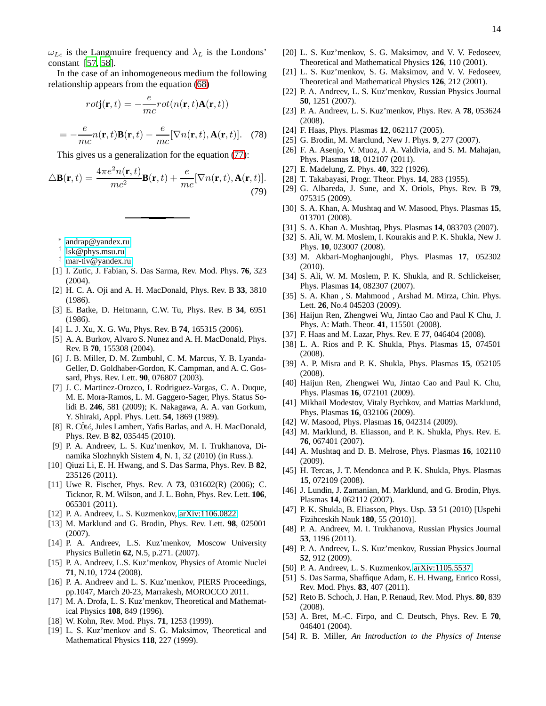$\omega_{Le}$  is the Langmuire frequency and  $\lambda_L$  is the Londons' constant [57, 58].

In the case of an inhomogeneous medium the following relationship appears from the equation [\(68\)](#page-12-7)

$$
rot\mathbf{j}(\mathbf{r},t) = -\frac{e}{mc}rot(n(\mathbf{r},t)\mathbf{A}(\mathbf{r},t))
$$

$$
=-\frac{e}{mc}n(\mathbf{r},t)\mathbf{B}(\mathbf{r},t)-\frac{e}{mc}[\nabla n(\mathbf{r},t),\mathbf{A}(\mathbf{r},t)].
$$
 (78)

This gives us a generalization for the equation [\(77\)](#page-12-8):

$$
\Delta \mathbf{B}(\mathbf{r},t) = \frac{4\pi e^2 n(\mathbf{r},t)}{mc^2} \mathbf{B}(\mathbf{r},t) + \frac{e}{mc} [\nabla n(\mathbf{r},t), \mathbf{A}(\mathbf{r},t)].
$$
\n(79)

- ∗ [andrap@yandex.ru](mailto:andrap@yandex.ru)
- <span id="page-13-0"></span>† [lsk@phys.msu.ru](mailto:lsk@phys.msu.ru)
- <span id="page-13-2"></span><span id="page-13-1"></span>‡ [mar-tiv@yandex.ru](mailto:mar-tiv@yandex.ru)
- [1] I. Zutic, J. Fabian, S. Das Sarma, Rev. Mod. Phys. **76**, 323 (2004).
- [2] H. C. A. Oji and A. H. MacDonald, Phys. Rev. B **33**, 3810 (1986).
- [3] E. Batke, D. Heitmann, C.W. Tu, Phys. Rev. B **34**, 6951 (1986).
- [4] L. J. Xu, X. G. Wu, Phys. Rev. B **74**, 165315 (2006).
- [5] A. A. Burkov, Alvaro S. Nunez and A. H. MacDonald, Phys. Rev. B **70**, 155308 (2004).
- [6] J. B. Miller, D. M. Zumbuhl, C. M. Marcus, Y. B. Lyanda-Geller, D. Goldhaber-Gordon, K. Campman, and A. C. Gossard, Phys. Rev. Lett. **90**, 076807 (2003).
- <span id="page-13-3"></span>[7] J. C. Martinez-Orozco, I. Rodriguez-Vargas, C. A. Duque, M. E. Mora-Ramos, L. M. Gaggero-Sager, Phys. Status Solidi B. **246**, 581 (2009); K. Nakagawa, A. A. van Gorkum, Y. Shiraki, Appl. Phys. Lett. **54**, 1869 (1989).
- [8] R. CÔté, Jules Lambert, Yafis Barlas, and A. H. MacDonald, Phys. Rev. B **82**, 035445 (2010).
- [9] P. A. Andreev, L. S. Kuz'menkov, M. I. Trukhanova, Dinamika Slozhnykh Sistem **4**, N. 1, 32 (2010) (in Russ.).
- [10] Qiuzi Li, E. H. Hwang, and S. Das Sarma, Phys. Rev. B **82**, 235126 (2011).
- [11] Uwe R. Fischer, Phys. Rev. A **73**, 031602(R) (2006); C. Ticknor, R. M. Wilson, and J. L. Bohn, Phys. Rev. Lett. **106**, 065301 (2011).
- [12] P. A. Andreev, L. S. Kuzmenkov, [arXiv:1106.0822.](http://arxiv.org/abs/1106.0822)
- [13] M. Marklund and G. Brodin, Phys. Rev. Lett. **98**, 025001 (2007).
- [14] P. A. Andreev, L.S. Kuz'menkov, Moscow University Physics Bulletin **62**, N.5, p.271. (2007).
- [15] P. A. Andreev, L.S. Kuz'menkov, Physics of Atomic Nuclei **71**, N.10, 1724 (2008).
- [16] P. A. Andreev and L. S. Kuz'menkov, PIERS Proceedings, pp.1047, March 20-23, Marrakesh, MOROCCO 2011.
- [17] M. A. Drofa, L. S. Kuz'menkov, Theoretical and Mathematical Physics **108**, 849 (1996).
- [18] W. Kohn, Rev. Mod. Phys. **71**, 1253 (1999).
- [19] L. S. Kuz'menkov and S. G. Maksimov, Theoretical and Mathematical Physics **118**, 227 (1999).
- [20] L. S. Kuz'menkov, S. G. Maksimov, and V. V. Fedoseev, Theoretical and Mathematical Physics **126**, 110 (2001).
- [21] L. S. Kuz'menkov, S. G. Maksimov, and V. V. Fedoseev, Theoretical and Mathematical Physics **126**, 212 (2001).
- [22] P. A. Andreev, L. S. Kuz'menkov, Russian Physics Journal **50**, 1251 (2007).
- [23] P. A. Andreev, L. S. Kuz'menkov, Phys. Rev. A **78**, 053624 (2008).
- [24] F. Haas, Phys. Plasmas **12**, 062117 (2005).
- [25] G. Brodin, M. Marclund, New J. Phys. **9**, 277 (2007).
- [26] F. A. Asenjo, V. Muoz, J. A. Valdivia, and S. M. Mahajan, Phys. Plasmas **18**, 012107 (2011).
- [27] E. Madelung, Z. Phys. **40**, 322 (1926).
- <span id="page-13-4"></span>[28] T. Takabayasi, Progr. Theor. Phys. **14**, 283 (1955).
- [29] G. Albareda, J. Sune, and X. Oriols, Phys. Rev. B **79**, 075315 (2009).
- [30] S. A. Khan, A. Mushtaq and W. Masood, Phys. Plasmas **15**, 013701 (2008).
- [31] S. A. Khan A. Mushtaq, Phys. Plasmas **14**, 083703 (2007).
- [32] S. Ali, W. M. Moslem, I. Kourakis and P. K. Shukla, New J. Phys. **10**, 023007 (2008).
- [33] M. Akbari-Moghanjoughi, Phys. Plasmas **17**, 052302 (2010).
- [34] S. Ali, W. M. Moslem, P. K. Shukla, and R. Schlickeiser, Phys. Plasmas **14**, 082307 (2007).
- [35] S. A. Khan, S. Mahmood, Arshad M. Mirza, Chin. Phys. Lett. **26**, No.4 045203 (2009).
- [36] Haijun Ren, Zhengwei Wu, Jintao Cao and Paul K Chu, J. Phys. A: Math. Theor. **41**, 115501 (2008).
- [37] F. Haas and M. Lazar, Phys. Rev. E **77**, 046404 (2008).
- [38] L. A. Rios and P. K. Shukla, Phys. Plasmas **15**, 074501 (2008).
- [39] A. P. Misra and P. K. Shukla, Phys. Plasmas **15**, 052105 (2008).
- [40] Haijun Ren, Zhengwei Wu, Jintao Cao and Paul K. Chu, Phys. Plasmas **16**, 072101 (2009).
- [41] Mikhail Modestov, Vitaly Bychkov, and Mattias Marklund, Phys. Plasmas **16**, 032106 (2009).
- [42] W. Masood, Phys. Plasmas **16**, 042314 (2009).
- [43] M. Marklund, B. Eliasson, and P. K. Shukla, Phys. Rev. E. **76**, 067401 (2007).
- [44] A. Mushtaq and D. B. Melrose, Phys. Plasmas **16**, 102110 (2009).
- [45] H. Tercas, J. T. Mendonca and P. K. Shukla, Phys. Plasmas **15**, 072109 (2008).
- [46] J. Lundin, J. Zamanian, M. Marklund, and G. Brodin, Phys. Plasmas **14**, 062112 (2007).
- [47] P. K. Shukla, B. Eliasson, Phys. Usp. **53** 51 (2010) [Uspehi Fizihceskih Nauk **180**, 55 (2010)].
- [48] P. A. Andreev, M. I. Trukhanova, Russian Physics Journal **53**, 1196 (2011).
- [49] P. A. Andreev, L. S. Kuz'menkov, Russian Physics Journal **52**, 912 (2009).
- [50] P. A. Andreev, L. S. Kuzmenkov, [arXiv:1105.5537.](http://arxiv.org/abs/1105.5537)
- [51] S. Das Sarma, Shaffique Adam, E. H. Hwang, Enrico Rossi, Rev. Mod. Phys. **83**, 407 (2011).
- [52] Reto B. Schoch, J. Han, P. Renaud, Rev. Mod. Phys. **80**, 839 (2008).
- [53] A. Bret, M.-C. Firpo, and C. Deutsch, Phys. Rev. E **70**, 046401 (2004).
- [54] R. B. Miller, *An Introduction to the Physics of Intense*